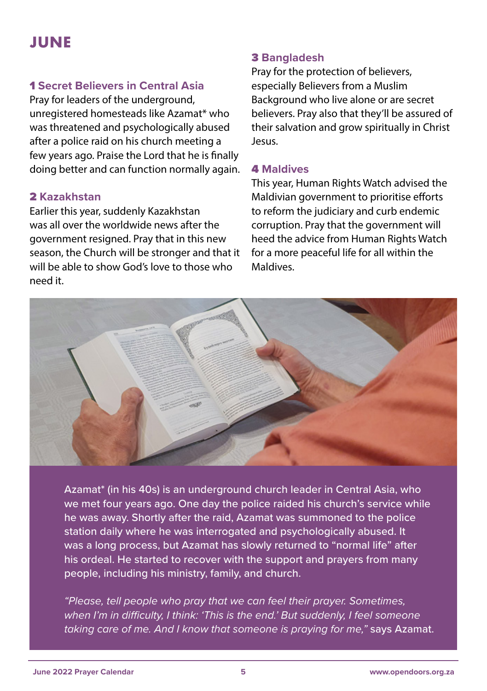# **JUNE**

# 1 **Secret Believers in Central Asia**

Pray for leaders of the underground, unregistered homesteads like Azamat\* who was threatened and psychologically abused after a police raid on his church meeting a few years ago. Praise the Lord that he is finally doing better and can function normally again.

# 2 **Kazakhstan**

Earlier this year, suddenly Kazakhstan was all over the worldwide news after the government resigned. Pray that in this new season, the Church will be stronger and that it will be able to show God's love to those who need it.

#### 3 **Bangladesh**

Pray for the protection of believers, especially Believers from a Muslim Background who live alone or are secret believers. Pray also that they'll be assured of their salvation and grow spiritually in Christ Jesus.

#### 4 **Maldives**

This year, Human Rights Watch advised the Maldivian government to prioritise efforts to reform the judiciary and curb endemic corruption. Pray that the government will heed the advice from Human Rights Watch for a more peaceful life for all within the Maldives.



Azamat\* (in his 40s) is an underground church leader in Central Asia, who we met four years ago. One day the police raided his church's service while he was away. Shortly after the raid, Azamat was summoned to the police station daily where he was interrogated and psychologically abused. It was a long process, but Azamat has slowly returned to "normal life" after his ordeal. He started to recover with the support and prayers from many people, including his ministry, family, and church.

*"Please, tell people who pray that we can feel their prayer. Sometimes, when I'm in difficulty, I think: 'This is the end.' But suddenly, I feel someone taking care of me. And I know that someone is praying for me,"* says Azamat.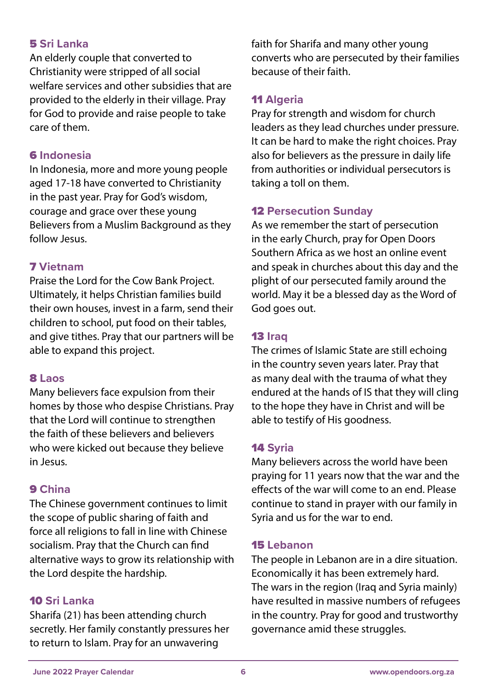## 5 **Sri Lanka**

An elderly couple that converted to Christianity were stripped of all social welfare services and other subsidies that are provided to the elderly in their village. Pray for God to provide and raise people to take care of them.

#### 6 **Indonesia**

In Indonesia, more and more young people aged 17-18 have converted to Christianity in the past year. Pray for God's wisdom, courage and grace over these young Believers from a Muslim Background as they follow Jesus.

#### 7 **Vietnam**

Praise the Lord for the Cow Bank Project. Ultimately, it helps Christian families build their own houses, invest in a farm, send their children to school, put food on their tables, and give tithes. Pray that our partners will be able to expand this project.

#### 8 **Laos**

Many believers face expulsion from their homes by those who despise Christians. Pray that the Lord will continue to strengthen the faith of these believers and believers who were kicked out because they believe in Jesus.

## 9 **China**

The Chinese government continues to limit the scope of public sharing of faith and force all religions to fall in line with Chinese socialism. Pray that the Church can find alternative ways to grow its relationship with the Lord despite the hardship.

## 10 **Sri Lanka**

Sharifa (21) has been attending church secretly. Her family constantly pressures her to return to Islam. Pray for an unwavering

faith for Sharifa and many other young converts who are persecuted by their families because of their faith.

## 11 **Algeria**

Pray for strength and wisdom for church leaders as they lead churches under pressure. It can be hard to make the right choices. Pray also for believers as the pressure in daily life from authorities or individual persecutors is taking a toll on them.

## 12 **Persecution Sunday**

As we remember the start of persecution in the early Church, pray for Open Doors Southern Africa as we host an online event and speak in churches about this day and the plight of our persecuted family around the world. May it be a blessed day as the Word of God goes out.

#### 13 **Iraq**

The crimes of Islamic State are still echoing in the country seven years later. Pray that as many deal with the trauma of what they endured at the hands of IS that they will cling to the hope they have in Christ and will be able to testify of His goodness.

## 14 **Syria**

Many believers across the world have been praying for 11 years now that the war and the effects of the war will come to an end. Please continue to stand in prayer with our family in Syria and us for the war to end.

#### 15 **Lebanon**

The people in Lebanon are in a dire situation. Economically it has been extremely hard. The wars in the region (Iraq and Syria mainly) have resulted in massive numbers of refugees in the country. Pray for good and trustworthy governance amid these struggles.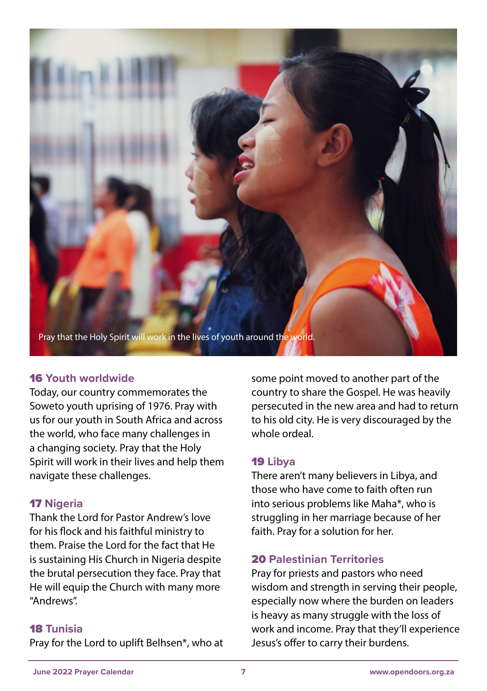

# 16 **Youth worldwide**

Today, our country commemorates the Soweto youth uprising of 1976. Pray with us for our youth in South Africa and across the world, who face many challenges in a changing society. Pray that the Holy Spirit will work in their lives and help them navigate these challenges.

## 17 **Nigeria**

Thank the Lord for Pastor Andrew's love for his flock and his faithful ministry to them. Praise the Lord for the fact that He is sustaining His Church in Nigeria despite the brutal persecution they face. Pray that He will equip the Church with many more "Andrews".

#### 18 **Tunisia**

Pray for the Lord to uplift Belhsen\*, who at

some point moved to another part of the country to share the Gospel. He was heavily persecuted in the new area and had to return to his old city. He is very discouraged by the whole ordeal.

## 19 **Libya**

There aren't many believers in Libya, and those who have come to faith often run into serious problems like Maha\*, who is struggling in her marriage because of her faith. Pray for a solution for her.

# 20 **Palestinian Territories**

Pray for priests and pastors who need wisdom and strength in serving their people, especially now where the burden on leaders is heavy as many struggle with the loss of work and income. Pray that they'll experience Jesus's offer to carry their burdens.